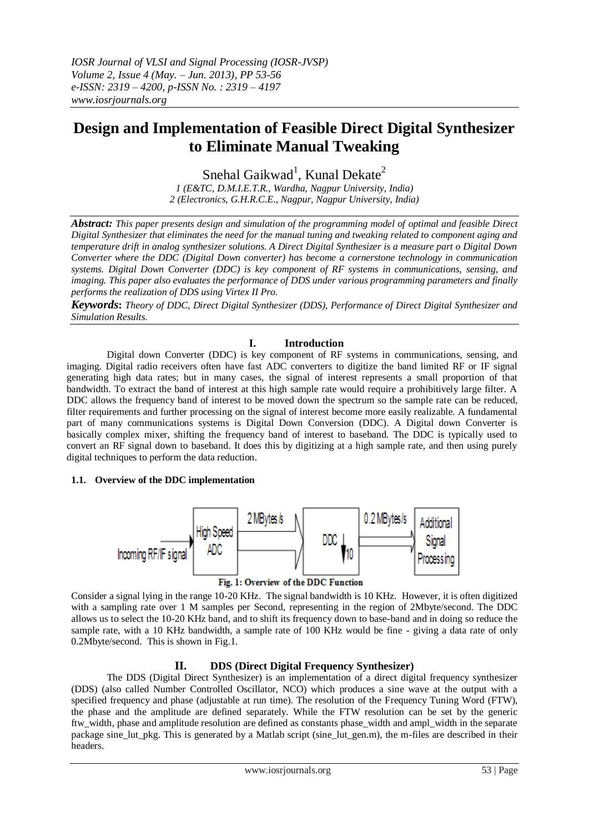# **Design and Implementation of Feasible Direct Digital Synthesizer to Eliminate Manual Tweaking**

Snehal Gaikwad<sup>1</sup>, Kunal Dekate<sup>2</sup> *1 (E&TC, D.M.I.E.T.R., Wardha, Nagpur University, India) 2 (Electronics, G.H.R.C.E., Nagpur, Nagpur University, India)*

*Abstract: This paper presents design and simulation of the programming model of optimal and feasible Direct Digital Synthesizer that eliminates the need for the manual tuning and tweaking related to component aging and temperature drift in analog synthesizer solutions. A Direct Digital Synthesizer is a measure part o Digital Down Converter where the DDC (Digital Down converter) has become a cornerstone technology in communication systems. Digital Down Converter (DDC) is key component of RF systems in communications, sensing, and imaging. This paper also evaluates the performance of DDS under various programming parameters and finally performs the realization of DDS using Virtex II Pro.*

*Keywords***:** *Theory of DDC, Direct Digital Synthesizer (DDS), Performance of Direct Digital Synthesizer and Simulation Results.*

## **I. Introduction**

Digital down Converter (DDC) is key component of RF systems in communications, sensing, and imaging. Digital radio receivers often have fast ADC converters to digitize the band limited RF or IF signal generating high data rates; but in many cases, the signal of interest represents a small proportion of that bandwidth. To extract the band of interest at this high sample rate would require a prohibitively large filter. A DDC allows the frequency band of interest to be moved down the spectrum so the sample rate can be reduced, filter requirements and further processing on the signal of interest become more easily realizable. A fundamental part of many communications systems is Digital Down Conversion (DDC). A Digital down Converter is basically complex mixer, shifting the frequency band of interest to baseband. The DDC is typically used to convert an RF signal down to baseband. It does this by digitizing at a high sample rate, and then using purely digital techniques to perform the data reduction.

## **1.1.****Overview of the DDC implementation**



Fig. 1: Overview of the DDC Function

Consider a signal lying in the range 10-20 KHz. The signal bandwidth is 10 KHz. However, it is often digitized with a sampling rate over 1 M samples per Second, representing in the region of 2Mbyte/second. The DDC allows us to select the 10-20 KHz band, and to shift its frequency down to base-band and in doing so reduce the sample rate, with a 10 KHz bandwidth, a sample rate of 100 KHz would be fine - giving a data rate of only 0.2Mbyte/second. This is shown in Fig.1.

## **II. DDS (Direct Digital Frequency Synthesizer)**

The DDS (Digital Direct Synthesizer) is an implementation of a direct digital frequency synthesizer (DDS) (also called Number Controlled Oscillator, NCO) which produces a sine wave at the output with a specified frequency and phase (adjustable at run time). The resolution of the Frequency Tuning Word (FTW), the phase and the amplitude are defined separately. While the FTW resolution can be set by the generic ftw\_width, phase and amplitude resolution are defined as constants phase\_width and ampl\_width in the separate package sine lut pkg. This is generated by a Matlab script (sine lut gen.m), the m-files are described in their headers.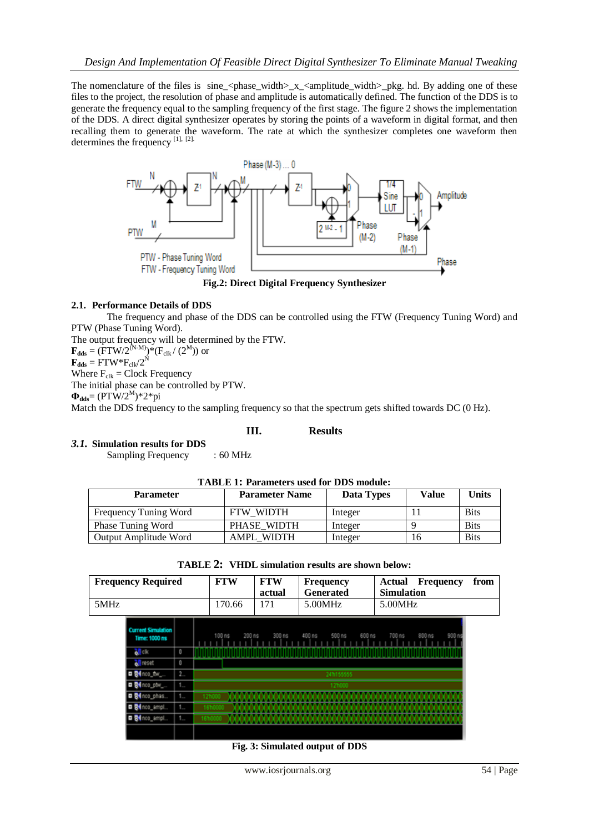The nomenclature of the files is  $\sin$ e\_<phase\_width>\_x\_<amplitude\_width>\_pkg. hd. By adding one of these files to the project, the resolution of phase and amplitude is automatically defined. The function of the DDS is to generate the frequency equal to the sampling frequency of the first stage. The figure 2 shows the implementation of the DDS. A direct digital synthesizer operates by storing the points of a waveform in digital format, and then recalling them to generate the waveform. The rate at which the synthesizer completes one waveform then determines the frequency [1], [2].



#### **2.1. Performance Details of DDS**

The frequency and phase of the DDS can be controlled using the FTW (Frequency Tuning Word) and PTW (Phase Tuning Word).

The output frequency will be determined by the FTW.

 $\mathbf{F}_{\text{dds}} = (\text{FTW}/2^{(N-M)}) * (\text{F}_{\text{clk}} / (2^M))$  or

 $\mathbf{F}_{\text{dds}} = \text{FTW}^* \text{F}_{\text{clk}} / 2^N$ 

Where  $F_{\text{clk}} = \text{Clock Frequency}$ 

The initial phase can be controlled by PTW.

 $\Phi_{\text{dds}} = (PTW/2^{M})^* 2^* pi$ 

Match the DDS frequency to the sampling frequency so that the spectrum gets shifted towards DC (0 Hz).

## **III. Results**

## *3.1.* **Simulation results for DDS**

Sampling Frequency : 60 MHz

| <b>Parameter</b>      | <b>Parameter Name</b> | Data Types | Value | <b>Units</b> |  |
|-----------------------|-----------------------|------------|-------|--------------|--|
| Frequency Tuning Word | <b>FTW WIDTH</b>      | Integer    |       | <b>Bits</b>  |  |
| Phase Tuning Word     | PHASE WIDTH           | Integer    |       | <b>Bits</b>  |  |
| Output Amplitude Word | AMPL WIDTH            | Integer    | Iб    | <b>Bits</b>  |  |

|      | <b>Frequency Required</b>                  |                                       | <b>FTW</b> | <b>FTW</b><br>actual | Frequency<br><b>Generated</b> | <b>Actual Frequency</b><br><b>Simulation</b> | from |  |
|------|--------------------------------------------|---------------------------------------|------------|----------------------|-------------------------------|----------------------------------------------|------|--|
| 5MHz |                                            |                                       | 170.66     | 171                  | 5.00MHz                       | 5.00MHz                                      |      |  |
|      | <b>Current Simulation</b><br>Time: 1000 ns |                                       | $100$ ns   | 200 ns<br>$300$ ns   | 400 ns<br>500 ns              | 600 ns<br>700 ns<br>900r<br>$800$ ns         |      |  |
|      | o I cik                                    | $\Box$                                |            |                      |                               |                                              |      |  |
|      | all reset                                  | $\begin{array}{c} 0 \\ 0 \end{array}$ |            |                      |                               |                                              |      |  |
|      | <b>Bil</b> nco_ftw                         | 19.                                   |            |                      | 241155555                     |                                              |      |  |
|      | <b>B</b> inco_ptw_                         | $1 -$                                 |            |                      | 121000                        |                                              |      |  |
|      | <b>O B</b> inco_phas                       | $1 -$                                 |            |                      |                               |                                              |      |  |
|      | <b>Bil</b> nco_ampl                        | $1 -$                                 |            |                      |                               |                                              |      |  |
|      | <b>O S</b> inco_ampl                       | $1 -$                                 | 167        |                      |                               |                                              |      |  |
|      |                                            |                                       |            |                      |                               |                                              |      |  |

| <b>TABLE 2: VHDL simulation results are shown below:</b> |  |  |  |  |  |  |
|----------------------------------------------------------|--|--|--|--|--|--|
|----------------------------------------------------------|--|--|--|--|--|--|

 **Fig. 3: Simulated output of DDS**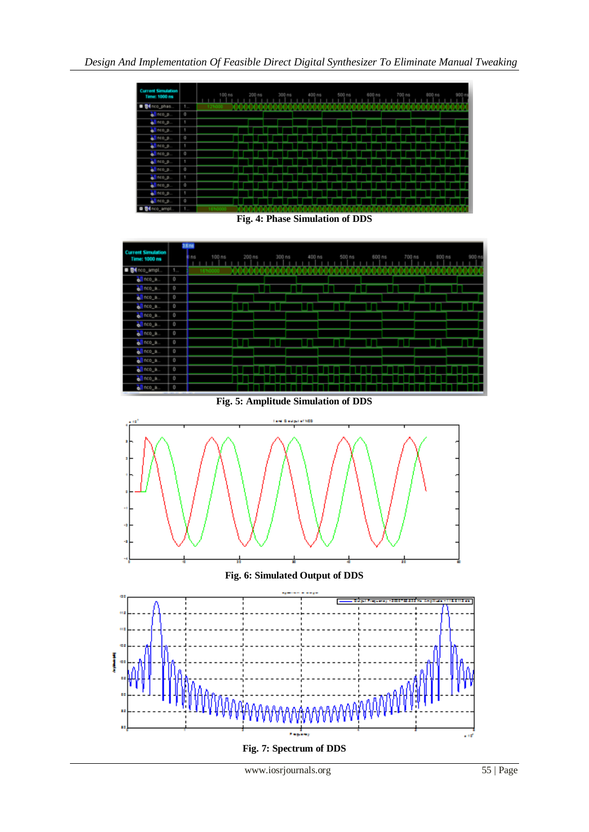| <b>Current Simulation</b><br>Time: 1000 ns |                | 100 ns | 200 ns | $300$ ns | 400 ns | $500$ ns | 600 ns | 700 ns | 900 ns | 900 n |
|--------------------------------------------|----------------|--------|--------|----------|--------|----------|--------|--------|--------|-------|
| <sup>34</sup> nco_phas.                    | $1 -$          |        |        |          |        |          |        |        |        |       |
| all nco_p.                                 | o              |        |        |          |        |          |        |        |        |       |
| of nco_p.                                  | 1              |        |        |          |        |          |        |        |        |       |
| <b>di</b> nco_p                            | ٠              |        |        |          |        |          |        |        |        |       |
| of nco_p                                   | $\circ$        |        |        |          |        |          |        |        |        |       |
| oll nco_p.                                 | ٠              |        |        |          |        |          |        |        |        |       |
| o nco                                      | $\overline{a}$ |        |        |          |        |          |        |        |        |       |
| of nco_p.                                  | ۰              |        |        |          |        |          |        |        |        |       |
| of nco_p.                                  | $\mathbf{0}$   |        |        |          |        |          |        |        |        |       |
| of nco_p                                   | ۷              |        |        |          |        |          |        |        |        |       |
| oll nco_p.                                 | $\circ$        |        |        |          |        |          |        |        |        |       |
| ol nco_p                                   | ٠              |        |        |          |        |          |        |        |        |       |
| $\bullet$ nco_p.                           | $\mathbf{0}$   |        |        |          |        |          |        |        |        |       |
| <b>B B4</b> nco_ampt                       | 1.             |        |        |          |        |          |        |        |        |       |

**Fig. 4: Phase Simulation of DDS**

|                                            |              | 3.6 nd        |        |        |        |        |        |        |        |       |
|--------------------------------------------|--------------|---------------|--------|--------|--------|--------|--------|--------|--------|-------|
| <b>Current Simulation</b><br>Time: 1000 ns |              | 100 ns<br>Ins | 200 ns | 300 ns | 400 ns | 500 ns | 600 ns | 700 ns | 800 ns | 900 m |
| <b>B B4</b> nco_ampt.                      | $1 -$        | 1671          | .      |        |        |        |        |        |        |       |
| all noo_a.                                 | o            |               |        |        |        |        |        |        |        |       |
| of nco_a.                                  | $\circ$      |               |        |        |        |        |        |        |        |       |
| of nco_a                                   | $\circ$      |               |        |        |        |        |        |        |        |       |
| of nco_a.                                  | $\theta$     |               |        |        |        |        |        |        |        |       |
| of nco_a.                                  | $\circ$      |               |        |        |        |        |        |        |        |       |
| oll nco_a.                                 | $\circ$      |               |        |        |        |        |        |        |        |       |
| of nco_a.                                  | $\circ$      |               |        |        |        |        |        |        |        |       |
| of nco_a.                                  | $\circ$      |               |        |        |        |        |        |        |        |       |
| oll nco_a.                                 | $\circ$      |               |        |        |        |        |        |        |        |       |
| of nco_a.                                  | $\circ$      |               |        |        |        |        |        |        |        |       |
| all neo_a                                  | $\mathbb{O}$ |               |        |        |        |        |        |        |        |       |
| all noo_a.                                 | $\circ$      |               |        |        |        |        |        |        |        |       |
| all noo_a.                                 | $\circ$      |               |        |        |        |        |        |        |        |       |

**Fig. 5: Amplitude Simulation of DDS**